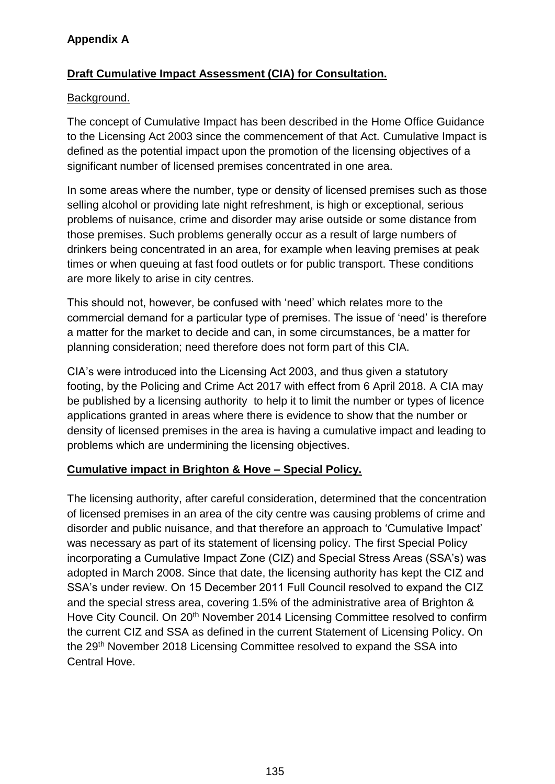# **Appendix A**

## **Draft Cumulative Impact Assessment (CIA) for Consultation.**

#### Background.

The concept of Cumulative Impact has been described in the Home Office Guidance to the Licensing Act 2003 since the commencement of that Act. Cumulative Impact is defined as the potential impact upon the promotion of the licensing objectives of a significant number of licensed premises concentrated in one area.

In some areas where the number, type or density of licensed premises such as those selling alcohol or providing late night refreshment, is high or exceptional, serious problems of nuisance, crime and disorder may arise outside or some distance from those premises. Such problems generally occur as a result of large numbers of drinkers being concentrated in an area, for example when leaving premises at peak times or when queuing at fast food outlets or for public transport. These conditions are more likely to arise in city centres.

This should not, however, be confused with 'need' which relates more to the commercial demand for a particular type of premises. The issue of 'need' is therefore a matter for the market to decide and can, in some circumstances, be a matter for planning consideration; need therefore does not form part of this CIA.

CIA's were introduced into the Licensing Act 2003, and thus given a statutory footing, by the Policing and Crime Act 2017 with effect from 6 April 2018. A CIA may be published by a licensing authority to help it to limit the number or types of licence applications granted in areas where there is evidence to show that the number or density of licensed premises in the area is having a cumulative impact and leading to problems which are undermining the licensing objectives.

## **Cumulative impact in Brighton & Hove – Special Policy.**

The licensing authority, after careful consideration, determined that the concentration of licensed premises in an area of the city centre was causing problems of crime and disorder and public nuisance, and that therefore an approach to 'Cumulative Impact' was necessary as part of its statement of licensing policy. The first Special Policy incorporating a Cumulative Impact Zone (CIZ) and Special Stress Areas (SSA's) was adopted in March 2008. Since that date, the licensing authority has kept the CIZ and SSA's under review. On 15 December 2011 Full Council resolved to expand the CIZ and the special stress area, covering 1.5% of the administrative area of Brighton & Hove City Council. On 20<sup>th</sup> November 2014 Licensing Committee resolved to confirm the current CIZ and SSA as defined in the current Statement of Licensing Policy. On the 29<sup>th</sup> November 2018 Licensing Committee resolved to expand the SSA into Central Hove.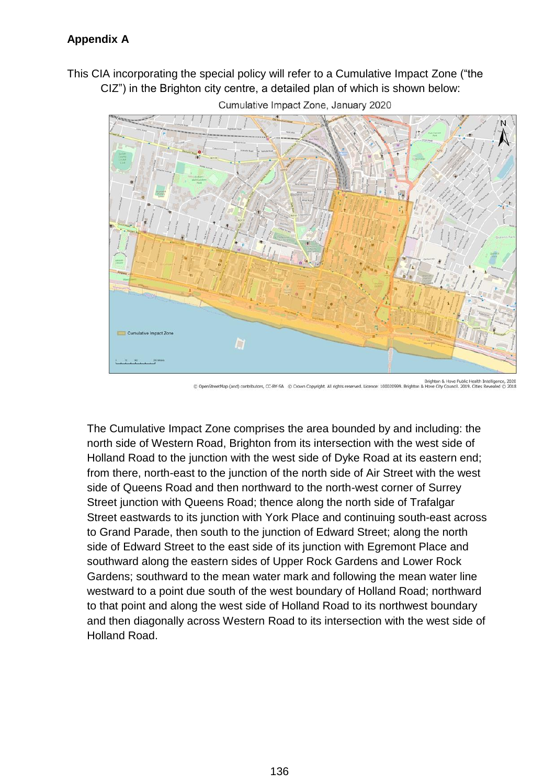This CIA incorporating the special policy will refer to a Cumulative Impact Zone ("the CIZ") in the Brighton city centre, a detailed plan of which is shown below:



Cumulative Impact Zone, January 2020

The Cumulative Impact Zone comprises the area bounded by and including: the north side of Western Road, Brighton from its intersection with the west side of Holland Road to the junction with the west side of Dyke Road at its eastern end; from there, north-east to the junction of the north side of Air Street with the west side of Queens Road and then northward to the north-west corner of Surrey Street junction with Queens Road; thence along the north side of Trafalgar Street eastwards to its junction with York Place and continuing south-east across to Grand Parade, then south to the junction of Edward Street; along the north side of Edward Street to the east side of its junction with Egremont Place and southward along the eastern sides of Upper Rock Gardens and Lower Rock Gardens; southward to the mean water mark and following the mean water line westward to a point due south of the west boundary of Holland Road; northward to that point and along the west side of Holland Road to its northwest boundary and then diagonally across Western Road to its intersection with the west side of Holland Road.

Brighton & Hove Public Health Intelligence, 2020<br>2014 @ m Copyright. All rights reserved. Licence: 100020999. Brighton & Hove City Council. 2019. Cities Revealed eetMap (and) contributors, CC-BY-SA © Cro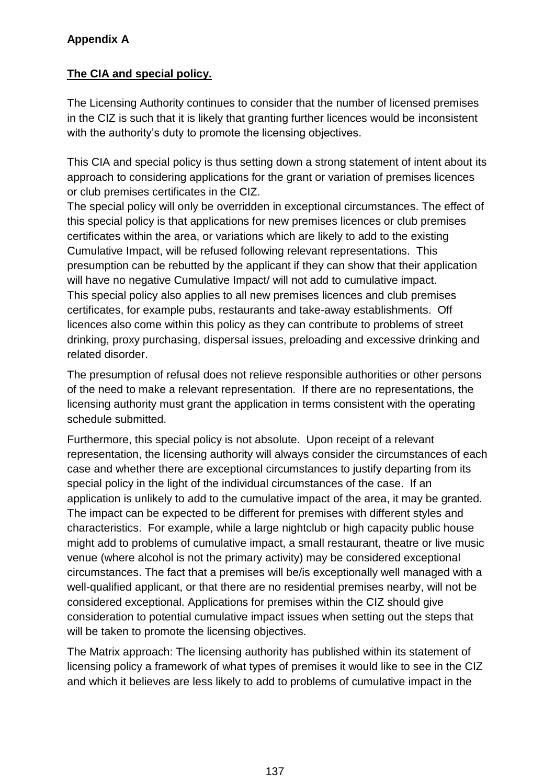# **Appendix A**

# **The CIA and special policy.**

The Licensing Authority continues to consider that the number of licensed premises in the CIZ is such that it is likely that granting further licences would be inconsistent with the authority's duty to promote the licensing objectives.

This CIA and special policy is thus setting down a strong statement of intent about its approach to considering applications for the grant or variation of premises licences or club premises certificates in the CIZ.

The special policy will only be overridden in exceptional circumstances. The effect of this special policy is that applications for new premises licences or club premises certificates within the area, or variations which are likely to add to the existing Cumulative Impact, will be refused following relevant representations. This presumption can be rebutted by the applicant if they can show that their application will have no negative Cumulative Impact/ will not add to cumulative impact. This special policy also applies to all new premises licences and club premises certificates, for example pubs, restaurants and take-away establishments. Off licences also come within this policy as they can contribute to problems of street drinking, proxy purchasing, dispersal issues, preloading and excessive drinking and related disorder.

The presumption of refusal does not relieve responsible authorities or other persons of the need to make a relevant representation. If there are no representations, the licensing authority must grant the application in terms consistent with the operating schedule submitted.

Furthermore, this special policy is not absolute. Upon receipt of a relevant representation, the licensing authority will always consider the circumstances of each case and whether there are exceptional circumstances to justify departing from its special policy in the light of the individual circumstances of the case. If an application is unlikely to add to the cumulative impact of the area, it may be granted. The impact can be expected to be different for premises with different styles and characteristics. For example, while a large nightclub or high capacity public house might add to problems of cumulative impact, a small restaurant, theatre or live music venue (where alcohol is not the primary activity) may be considered exceptional circumstances. The fact that a premises will be/is exceptionally well managed with a well-qualified applicant, or that there are no residential premises nearby, will not be considered exceptional. Applications for premises within the CIZ should give consideration to potential cumulative impact issues when setting out the steps that will be taken to promote the licensing objectives.

The Matrix approach: The licensing authority has published within its statement of licensing policy a framework of what types of premises it would like to see in the CIZ and which it believes are less likely to add to problems of cumulative impact in the